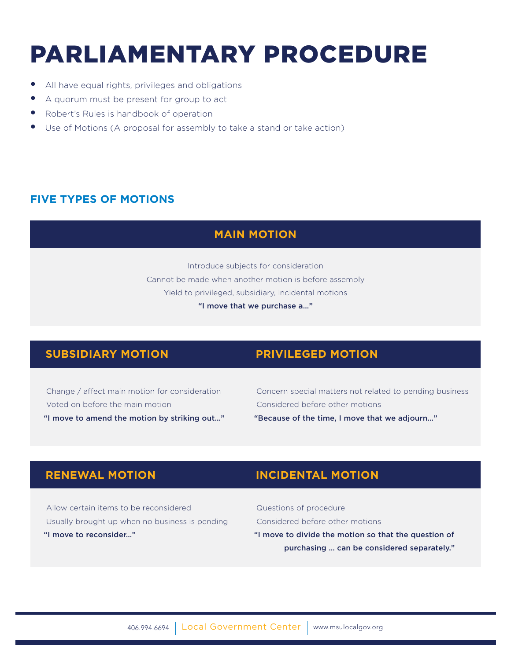# PARLIAMENTARY PROCEDURE

- All have equal rights, privileges and obligations
- A quorum must be present for group to act
- Robert's Rules is handbook of operation
- Use of Motions (A proposal for assembly to take a stand or take action)

### **FIVE TYPES OF MOTIONS**

### **MAIN MOTION**

Introduce subjects for consideration Cannot be made when another motion is before assembly Yield to privileged, subsidiary, incidental motions "I move that we purchase a…"

#### **SUBSIDIARY MOTION PRIVILEGED MOTION**

 Change / affect main motion for consideration Voted on before the main motion "I move to amend the motion by striking out…"

 Concern special matters not related to pending business Considered before other motions "Because of the time, I move that we adjourn…"

 Allow certain items to be reconsidered Usually brought up when no business is pending "I move to reconsider…"

# **RENEWAL MOTION INCIDENTAL MOTION**

 Questions of procedure Considered before other motions "I move to divide the motion so that the question of purchasing … can be considered separately."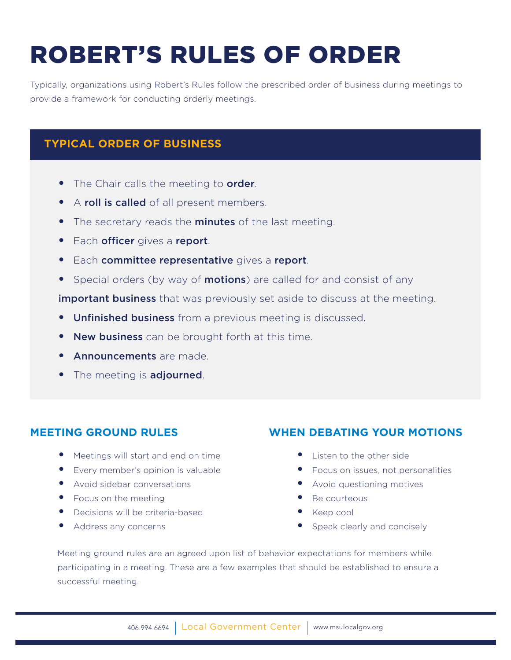# ROBERT'S RULES OF ORDER

Typically, organizations using Robert's Rules follow the prescribed order of business during meetings to provide a framework for conducting orderly meetings.

# **TYPICAL ORDER OF BUSINESS**

- The Chair calls the meeting to order.
- A roll is called of all present members.
- The secretary reads the **minutes** of the last meeting.
- **•** Each officer gives a report.
- **•** Each committee representative gives a report.
- Special orders (by way of **motions**) are called for and consist of any

**important business** that was previously set aside to discuss at the meeting.

- **Unfinished business** from a previous meeting is discussed.
- New business can be brought forth at this time.
- **Announcements** are made
- The meeting is **adjourned**.

## **MEETING GROUND RULES**

- Meetings will start and end on time
- Every member's opinion is valuable
- Avoid sidebar conversations
- Focus on the meeting
- Decisions will be criteria-based
- Address any concerns

## **WHEN DEBATING YOUR MOTIONS**

- Listen to the other side
- Focus on issues, not personalities
- Avoid questioning motives
- Be courteous
- Keep cool
- Speak clearly and concisely

Meeting ground rules are an agreed upon list of behavior expectations for members while participating in a meeting. These are a few examples that should be established to ensure a successful meeting.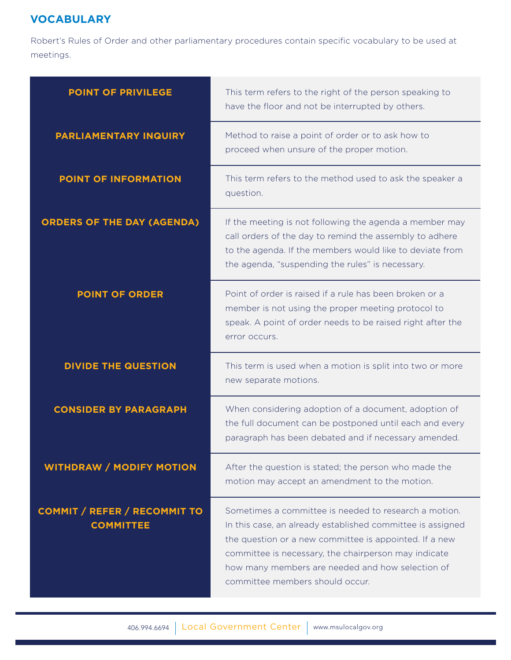# **VOCABULARY**

Robert's Rules of Order and other parliamentary procedures contain specific vocabulary to be used at meetings.

| <b>POINT OF PRIVILEGE</b>                               | This term refers to the right of the person speaking to<br>have the floor and not be interrupted by others.                                                                                                                                                                                                                  |
|---------------------------------------------------------|------------------------------------------------------------------------------------------------------------------------------------------------------------------------------------------------------------------------------------------------------------------------------------------------------------------------------|
| <b>PARLIAMENTARY INQUIRY</b>                            | Method to raise a point of order or to ask how to<br>proceed when unsure of the proper motion.                                                                                                                                                                                                                               |
| POINT OF INFORMATION                                    | This term refers to the method used to ask the speaker a<br>question.                                                                                                                                                                                                                                                        |
| <b>ORDERS OF THE DAY (AGENDA)</b>                       | If the meeting is not following the agenda a member may<br>call orders of the day to remind the assembly to adhere<br>to the agenda. If the members would like to deviate from<br>the agenda, "suspending the rules" is necessary.                                                                                           |
| <b>POINT OF ORDER</b>                                   | Point of order is raised if a rule has been broken or a<br>member is not using the proper meeting protocol to<br>speak. A point of order needs to be raised right after the<br>error occurs.                                                                                                                                 |
| <b>DIVIDE THE QUESTION</b>                              | This term is used when a motion is split into two or more<br>new separate motions.                                                                                                                                                                                                                                           |
| <b>CONSIDER BY PARAGRAPH</b>                            | When considering adoption of a document, adoption of<br>the full document can be postponed until each and every<br>paragraph has been debated and if necessary amended.                                                                                                                                                      |
| <b>WITHDRAW / MODIFY MOTION</b>                         | After the question is stated; the person who made the<br>motion may accept an amendment to the motion.                                                                                                                                                                                                                       |
| <b>COMMIT / REFER / RECOMMIT TO</b><br><b>COMMITTEE</b> | Sometimes a committee is needed to research a motion.<br>In this case, an already established committee is assigned<br>the question or a new committee is appointed. If a new<br>committee is necessary, the chairperson may indicate<br>how many members are needed and how selection of<br>committee members should occur. |